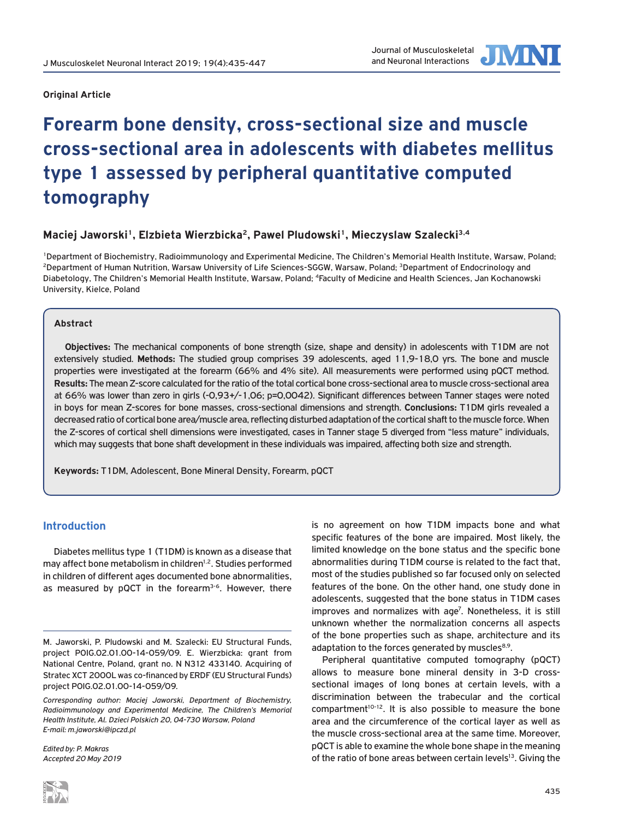

# **Forearm bone density, cross-sectional size and muscle cross-sectional area in adolescents with diabetes mellitus type 1 assessed by peripheral quantitative computed tomography**

## Maciej Jaworski<sup>1</sup>, Elzbieta Wierzbicka<sup>2</sup>, Pawel Pludowski<sup>1</sup>, Mieczyslaw Szalecki<sup>3,4</sup>

1Department of Biochemistry, Radioimmunology and Experimental Medicine, The Children's Memorial Health Institute, Warsaw, Poland; <sup>2</sup>Department of Human Nutrition, Warsaw University of Life Sciences-SGGW, Warsaw, Poland; <sup>3</sup>Department of Endocrinology and Diabetology, The Children's Memorial Health Institute, Warsaw, Poland; 4Faculty of Medicine and Health Sciences, Jan Kochanowski University, Kielce, Poland

## **Abstract**

**Objectives:** The mechanical components of bone strength (size, shape and density) in adolescents with T1DM are not extensively studied. **Methods:** The studied group comprises 39 adolescents, aged 11,9-18,0 yrs. The bone and muscle properties were investigated at the forearm (66% and 4% site). All measurements were performed using pQCT method. **Results:** The mean Z-score calculated for the ratio of the total cortical bone cross-sectional area to muscle cross-sectional area at 66% was lower than zero in girls (-0,93+/-1,06; p=0,0042). Significant differences between Tanner stages were noted in boys for mean Z-scores for bone masses, cross-sectional dimensions and strength. **Conclusions:** T1DM girls revealed a decreased ratio of cortical bone area/muscle area, reflecting disturbed adaptation of the cortical shaft to the muscle force. When the Z-scores of cortical shell dimensions were investigated, cases in Tanner stage 5 diverged from "less mature" individuals, which may suggests that bone shaft development in these individuals was impaired, affecting both size and strength.

**Keywords:** T1DM, Adolescent, Bone Mineral Density, Forearm, pQCT

## **Introduction**

Diabetes mellitus type 1 (T1DM) is known as a disease that may affect bone metabolism in children<sup>1,2</sup>. Studies performed in children of different ages documented bone abnormalities, as measured by pQCT in the forearm<sup>3-6</sup>. However, there

*Edited by: P. Makras Accepted 20 May 2019* is no agreement on how T1DM impacts bone and what specific features of the bone are impaired. Most likely, the limited knowledge on the bone status and the specific bone abnormalities during T1DM course is related to the fact that, most of the studies published so far focused only on selected features of the bone. On the other hand, one study done in adolescents, suggested that the bone status in T1DM cases improves and normalizes with age<sup>7</sup>. Nonetheless, it is still unknown whether the normalization concerns all aspects of the bone properties such as shape, architecture and its adaptation to the forces generated by muscles $8.9$ .

Peripheral quantitative computed tomography (pQCT) allows to measure bone mineral density in 3-D crosssectional images of long bones at certain levels, with a discrimination between the trabecular and the cortical  $compartment<sup>10-12</sup>$ . It is also possible to measure the bone area and the circumference of the cortical layer as well as the muscle cross-sectional area at the same time. Moreover, pQCT is able to examine the whole bone shape in the meaning of the ratio of bone areas between certain levels<sup>13</sup>. Giving the

M. Jaworski, P. Pludowski and M. Szalecki: EU Structural Funds, project POIG.02.01.00-14-059/09. E. Wierzbicka: grant from National Centre, Poland, grant no. N N312 433140. Acquiring of Stratec XCT 2000L was co-financed by ERDF (EU Structural Funds) project POIG.02.01.00-14-059/09.

*Corresponding author: Maciej Jaworski, Department of Biochemistry, Radioimmunology and Experimental Medicine, The Children's Memorial Health Institute, Al. Dzieci Polskich 20, 04-730 Warsaw, Poland E-mail: m.jaworski@ipczd.pl*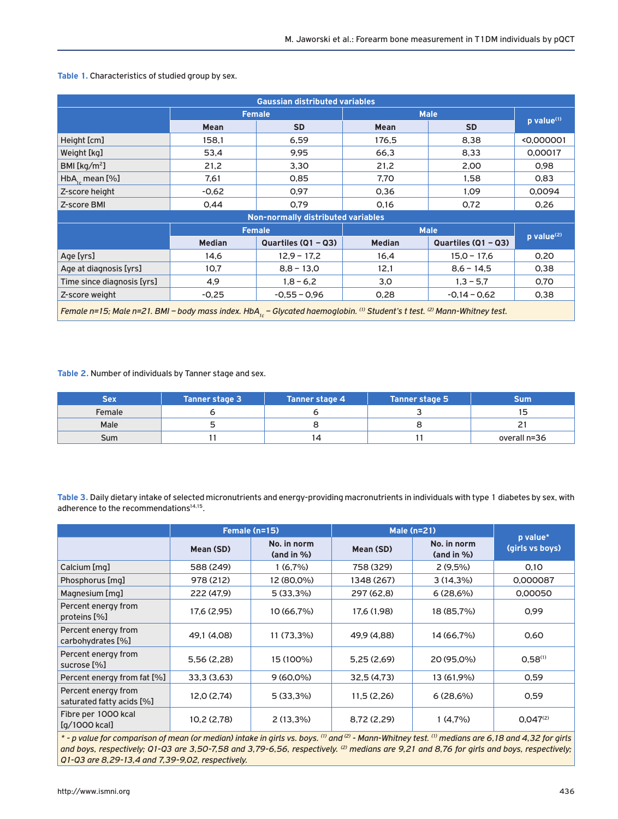| <b>Gaussian distributed variables</b>                                                                                                                       |               |                                    |               |                       |                          |
|-------------------------------------------------------------------------------------------------------------------------------------------------------------|---------------|------------------------------------|---------------|-----------------------|--------------------------|
|                                                                                                                                                             | <b>Female</b> |                                    | <b>Male</b>   |                       |                          |
|                                                                                                                                                             | <b>Mean</b>   | <b>SD</b>                          | Mean          | <b>SD</b>             | p value <sup>(1)</sup>   |
| Height [cm]                                                                                                                                                 | 158,1         | 6,59                               | 176,5         | 8,38                  | <0,000001                |
| Weight [kg]                                                                                                                                                 | 53,4          | 9,95                               | 66,3          | 8,33                  | 0,00017                  |
| BMI [ $kg/m2$ ]                                                                                                                                             | 21,2          | 3,30                               | 21,2          | 2,00                  | 0.98                     |
| $HbA_{1c}$ mean [%]                                                                                                                                         | 7,61          | 0,85                               | 7,70          | 1,58                  | 0,83                     |
| Z-score height                                                                                                                                              | $-0.62$       | 0,97                               | 0,36          | 1,09                  | 0,0094                   |
| Z-score BMI                                                                                                                                                 | 0.44          | 0.79                               | 0,16          | 0,72                  | 0,26                     |
|                                                                                                                                                             |               | Non-normally distributed variables |               |                       |                          |
|                                                                                                                                                             | <b>Female</b> |                                    | <b>Male</b>   |                       |                          |
|                                                                                                                                                             | <b>Median</b> | Quartiles (Q1 - Q3)                | <b>Median</b> | Quartiles $(Q1 - Q3)$ | $p$ value <sup>(2)</sup> |
| Age [yrs]                                                                                                                                                   | 14,6          | $12.9 - 17.2$                      | 16,4          | $15.0 - 17.6$         | 0,20                     |
| Age at diagnosis [yrs]                                                                                                                                      | 10,7          | $8,8 - 13,0$                       | 12,1          | $8,6 - 14,5$          | 0,38                     |
| Time since diagnosis [yrs]                                                                                                                                  | 4,9           | $1,8 - 6,2$                        | 3,0           | $1,3 - 5,7$           | 0,70                     |
| Z-score weight                                                                                                                                              | $-0.25$       | $-0.55 - 0.96$                     | 0,28          | $-0.14 - 0.62$        | 0,38                     |
| Female n=15; Male n=21. BMI - body mass index. HbA <sub>ic</sub> - Glycated haemoglobin. <sup>(i)</sup> Student's t test. <sup>(2)</sup> Mann-Whitney test. |               |                                    |               |                       |                          |

#### **Table 1.** Characteristics of studied group by sex.

**Table 2.** Number of individuals by Tanner stage and sex.

| Sex    | <b>Tanner stage 3</b> | Tanner stage 4 | <b>Tanner stage 5</b> | Sum'         |
|--------|-----------------------|----------------|-----------------------|--------------|
| Female |                       |                |                       |              |
| Male   |                       |                |                       |              |
| Sum    |                       | 14             |                       | overall n=36 |

**Table 3.** Daily dietary intake of selected micronutrients and energy-providing macronutrients in individuals with type 1 diabetes by sex, with adherence to the recommendations<sup>14,15</sup>.

|                                                  | Female (n=15) |                              | <b>Male (n=21)</b> |                              |                             |
|--------------------------------------------------|---------------|------------------------------|--------------------|------------------------------|-----------------------------|
|                                                  | Mean (SD)     | No. in norm<br>$(and in \%)$ | Mean (SD)          | No. in norm<br>$(and in \%)$ | p value*<br>(girls vs boys) |
| Calcium [mg]                                     | 588 (249)     | 1(6.7%)                      | 758 (329)          | $2(9.5\%)$                   | 0.10                        |
| Phosphorus [mg]                                  | 978 (212)     | 12 (80,0%)                   | 1348 (267)         | $3(14,3\%)$                  | 0,000087                    |
| Magnesium [mg]                                   | 222 (47.9)    | $5(33,3\%)$                  | 297 (62,8)         | 6(28,6%)                     | 0.00050                     |
| Percent energy from<br>proteins [%]              | 17,6 (2,95)   | 10 (66,7%)                   | 17,6 (1,98)        | 18 (85,7%)                   | 0,99                        |
| Percent energy from<br>carbohydrates [%]         | 49,1 (4,08)   | 11 (73,3%)                   | 49,9 (4,88)        | 14 (66,7%)                   | 0,60                        |
| Percent energy from<br>sucrose [%]               | 5,56(2,28)    | 15 (100%)                    | 5,25(2,69)         | 20 (95.0%)                   | $0.58^{(1)}$                |
| Percent energy from fat [%]                      | 33,3(3,63)    | $9(60,0\%)$                  | 32.5(4.73)         | 13 (61,9%)                   | 0.59                        |
| Percent energy from<br>saturated fatty acids [%] | 12,0 (2,74)   | $5(33,3\%)$                  | 11,5(2,26)         | 6(28,6%)                     | 0,59                        |
| Fibre per 1000 kcal<br>$[q/1000$ kcal]           | 10,2(2,78)    | $2(13,3\%)$                  | 8,72 (2,29)        | 1(4,7%)                      | $0.047^{(2)}$               |

*\* - p value for comparison of mean (or median) intake in girls vs. boys. (1) and (2) - Mann-Whitney test. (1) medians are 6,18 and 4,32 for girls and boys, respectively; Q1-Q3 are 3,50-7,58 and 3,79-6,56, respectively. (2) medians are 9,21 and 8,76 for girls and boys, respectively; Q1-Q3 are 8,29-13,4 and 7,39-9,02, respectively.*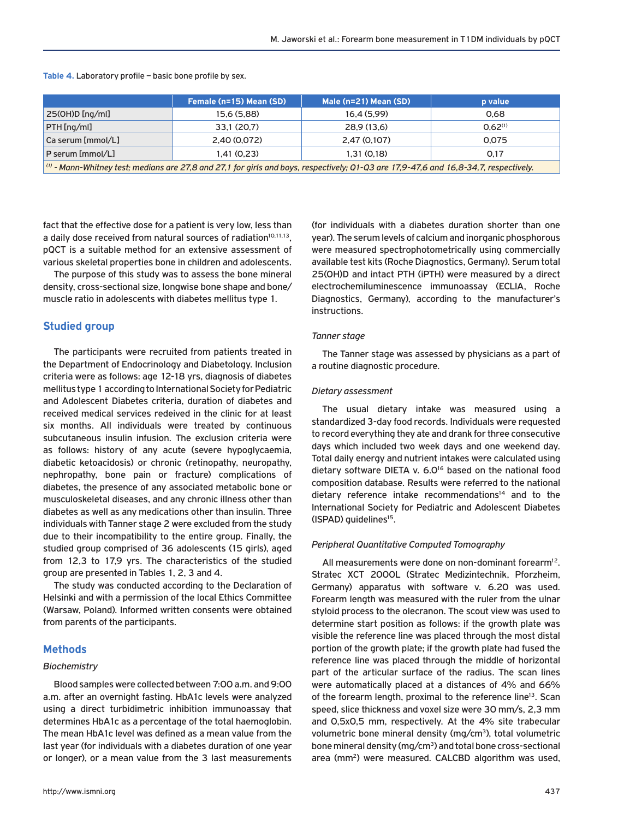|                                                                                                                                                                   | Female (n=15) Mean (SD) | Male (n=21) Mean (SD) | <b>p</b> value |  |  |
|-------------------------------------------------------------------------------------------------------------------------------------------------------------------|-------------------------|-----------------------|----------------|--|--|
| 25(OH)D[ng/ml]                                                                                                                                                    | 15.6 (5.88)             | 16.4 (5.99)           | 0.68           |  |  |
| PTH [ng/ml]                                                                                                                                                       | 33,1 (20,7)             | 28.9(13.6)            | 0.62(1)        |  |  |
| Ca serum [mmol/L]                                                                                                                                                 | 2.40 (0.072)            | 2.47 (0.107)          | 0.075          |  |  |
| P serum [mmol/L]                                                                                                                                                  | 1.41(0.23)              | 1.31(0.18)            | 0.17           |  |  |
| $\vert$ $^{\prime\prime\prime}$ - Mann-Whitney test; medians are 27,8 and 27,1 for girls and boys, respectively; Q1-Q3 are 17,9-47,6 and 16,8-34,7, respectively. |                         |                       |                |  |  |

**Table 4.** Laboratory profile – basic bone profile by sex.

fact that the effective dose for a patient is very low, less than a daily dose received from natural sources of radiation<sup>10,11,13</sup>, pQCT is a suitable method for an extensive assessment of various skeletal properties bone in children and adolescents.

The purpose of this study was to assess the bone mineral density, cross-sectional size, longwise bone shape and bone/ muscle ratio in adolescents with diabetes mellitus type 1.

## **Studied group**

The participants were recruited from patients treated in the Department of Endocrinology and Diabetology. Inclusion criteria were as follows: age 12-18 yrs, diagnosis of diabetes mellitus type 1 according to International Society for Pediatric and Adolescent Diabetes criteria, duration of diabetes and received medical services redeived in the clinic for at least six months. All individuals were treated by continuous subcutaneous insulin infusion. The exclusion criteria were as follows: history of any acute (severe hypoglycaemia, diabetic ketoacidosis) or chronic (retinopathy, neuropathy, nephropathy, bone pain or fracture) complications of diabetes, the presence of any associated metabolic bone or musculoskeletal diseases, and any chronic illness other than diabetes as well as any medications other than insulin. Three individuals with Tanner stage 2 were excluded from the study due to their incompatibility to the entire group. Finally, the studied group comprised of 36 adolescents (15 girls), aged from 12,3 to 17,9 yrs. The characteristics of the studied group are presented in Tables 1, 2, 3 and 4.

The study was conducted according to the Declaration of Helsinki and with a permission of the local Ethics Committee (Warsaw, Poland). Informed written consents were obtained from parents of the participants.

## **Methods**

#### *Biochemistry*

Blood samples were collected between 7:00 a.m. and 9:00 a.m. after an overnight fasting. HbA1c levels were analyzed using a direct turbidimetric inhibition immunoassay that determines HbA1c as a percentage of the total haemoglobin. The mean HbA1c level was defined as a mean value from the last year (for individuals with a diabetes duration of one year or longer), or a mean value from the 3 last measurements

(for individuals with a diabetes duration shorter than one year). The serum levels of calcium and inorganic phosphorous were measured spectrophotometrically using commercially available test kits (Roche Diagnostics, Germany). Serum total 25(OH)D and intact PTH (iPTH) were measured by a direct electrochemiluminescence immunoassay (ECLIA, Roche Diagnostics, Germany), according to the manufacturer's instructions.

#### *Tanner stage*

The Tanner stage was assessed by physicians as a part of a routine diagnostic procedure.

#### *Dietary assessment*

The usual dietary intake was measured using a standardized 3-day food records. Individuals were requested to record everything they ate and drank for three consecutive days which included two week days and one weekend day. Total daily energy and nutrient intakes were calculated using dietary software DIETA v. 6.0<sup>16</sup> based on the national food composition database. Results were referred to the national dietary reference intake recommendations $14$  and to the International Society for Pediatric and Adolescent Diabetes (ISPAD) quidelines<sup>15</sup>.

#### *Peripheral Quantitative Computed Tomography*

All measurements were done on non-dominant forearm $12$ . Stratec XCT 2000L (Stratec Medizintechnik, Pforzheim, Germany) apparatus with software v. 6.20 was used. Forearm length was measured with the ruler from the ulnar styloid process to the olecranon. The scout view was used to determine start position as follows: if the growth plate was visible the reference line was placed through the most distal portion of the growth plate; if the growth plate had fused the reference line was placed through the middle of horizontal part of the articular surface of the radius. The scan lines were automatically placed at a distances of 4% and 66% of the forearm length, proximal to the reference line<sup>13</sup>. Scan speed, slice thickness and voxel size were 30 mm/s, 2,3 mm and 0,5x0,5 mm, respectively. At the 4% site trabecular volumetric bone mineral density (mg/cm3), total volumetric bone mineral density (mg/cm3) and total bone cross-sectional area (mm<sup>2</sup>) were measured. CALCBD algorithm was used,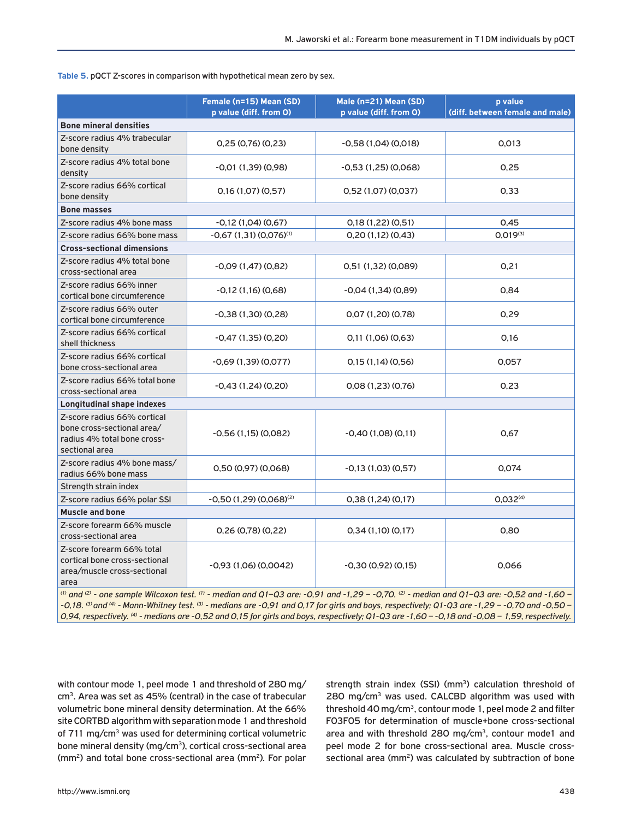**Table 5.** pQCT Z-scores in comparison with hypothetical mean zero by sex.

|                                                                                                                                            | Female (n=15) Mean (SD)<br>p value (diff. from O) | Male (n=21) Mean (SD)<br>p value (diff. from O) | p value<br>(diff. between female and male) |  |  |  |
|--------------------------------------------------------------------------------------------------------------------------------------------|---------------------------------------------------|-------------------------------------------------|--------------------------------------------|--|--|--|
| <b>Bone mineral densities</b>                                                                                                              |                                                   |                                                 |                                            |  |  |  |
| Z-score radius 4% trabecular<br>bone density                                                                                               | 0,25(0,76)(0,23)                                  | $-0.58(1.04)(0.018)$                            | 0,013                                      |  |  |  |
| Z-score radius 4% total bone<br>density                                                                                                    | $-0.01(1,39)(0,98)$                               | -0,53 (1,25) (0,068)                            | 0,25                                       |  |  |  |
| Z-score radius 66% cortical<br>bone density                                                                                                | 0,16(1,07)(0,57)                                  | 0.52(1.07)(0.037)                               | 0,33                                       |  |  |  |
| <b>Bone masses</b>                                                                                                                         |                                                   |                                                 |                                            |  |  |  |
| Z-score radius 4% bone mass                                                                                                                | $-0,12(1,04)(0,67)$                               | 0,18(1,22)(0,51)                                | 0,45                                       |  |  |  |
| Z-score radius 66% bone mass                                                                                                               | $-0,67$ (1,31) (0,076) <sup>(1)</sup>             | 0,20(1,12)(0,43)                                | $0.019^{(3)}$                              |  |  |  |
| <b>Cross-sectional dimensions</b>                                                                                                          |                                                   |                                                 |                                            |  |  |  |
| Z-score radius 4% total bone<br>cross-sectional area                                                                                       | $-0.09(1.47)(0.82)$                               | 0,51 (1,32) (0,089)                             | 0,21                                       |  |  |  |
| Z-score radius 66% inner<br>cortical bone circumference                                                                                    | $-0,12(1,16)(0,68)$                               | $-0,04(1,34)(0,89)$                             | 0,84                                       |  |  |  |
| Z-score radius 66% outer<br>cortical bone circumference                                                                                    | $-0.38(1.30)(0.28)$                               | 0.07(1.20)(0.78)                                | 0.29                                       |  |  |  |
| Z-score radius 66% cortical<br>shell thickness                                                                                             | $-0,47(1,35)(0,20)$                               | 0,11(1,06)(0,63)                                | 0,16                                       |  |  |  |
| Z-score radius 66% cortical<br>bone cross-sectional area                                                                                   | $-0.69(1.39)(0.077)$                              | 0,15(1,14)(0,56)                                | 0,057                                      |  |  |  |
| Z-score radius 66% total bone<br>cross-sectional area                                                                                      | $-0.43(1,24)(0,20)$                               | 0.08(1.23)(0.76)                                | 0,23                                       |  |  |  |
| Longitudinal shape indexes                                                                                                                 |                                                   |                                                 |                                            |  |  |  |
| Z-score radius 66% cortical<br>bone cross-sectional area/<br>radius 4% total bone cross-<br>sectional area                                 | $-0.56(1.15)(0.082)$                              | $-0,40(1,08)(0,11)$                             | 0,67                                       |  |  |  |
| Z-score radius 4% bone mass/<br>radius 66% bone mass                                                                                       | 0,50(0.97)(0.068)                                 | $-0.13(1,03)(0,57)$                             | 0.074                                      |  |  |  |
| Strength strain index                                                                                                                      |                                                   |                                                 |                                            |  |  |  |
| Z-score radius 66% polar SSI                                                                                                               | $-0.50(1.29)(0.068)^{(2)}$                        | 0,38(1,24)(0,17)                                | 0,032 <sup>(4)</sup>                       |  |  |  |
| <b>Muscle and bone</b>                                                                                                                     |                                                   |                                                 |                                            |  |  |  |
| Z-score forearm 66% muscle<br>cross-sectional area                                                                                         | 0,26(0,78)(0,22)                                  | 0,34(1,10)(0,17)                                | 0,80                                       |  |  |  |
| Z-score forearm 66% total<br>cortical bone cross-sectional<br>area/muscle cross-sectional<br>area                                          | $-0,93(1,06)(0,0042)$                             | $-0,30(0,92)(0,15)$                             | 0.066                                      |  |  |  |
| (i) and (2) - one sample Wilcoxon test. (i) - median and Q1-Q3 are: -0,91 and -1,29 - -0,70. (2) - median and Q1-Q3 are: -0,52 and -1,60 - |                                                   |                                                 |                                            |  |  |  |

*-0,18. (3) and (4) - Mann-Whitney test. (3) - medians are -0,91 and 0,17 for girls and boys, respectively; Q1-Q3 are -1,29 – -0,70 and -0,50 – 0,94, respectively. (4) - medians are -0,52 and 0,15 for girls and boys, respectively; Q1-Q3 are -1,60 – -0,18 and -0,08 – 1,59, respectively.*

with contour mode 1, peel mode 1 and threshold of 280 mg/ cm3. Area was set as 45% (central) in the case of trabecular volumetric bone mineral density determination. At the 66% site CORTBD algorithm with separation mode 1 and threshold of 711 mg/cm<sup>3</sup> was used for determining cortical volumetric bone mineral density (mg/cm<sup>3</sup>), cortical cross-sectional area (mm2) and total bone cross-sectional area (mm2). For polar strength strain index (SSI) (mm<sup>3</sup>) calculation threshold of 280 mg/cm<sup>3</sup> was used. CALCBD algorithm was used with threshold 40 mg/cm3, contour mode 1, peel mode 2 and filter F03F05 for determination of muscle+bone cross-sectional area and with threshold 280 mg/cm3, contour mode1 and peel mode 2 for bone cross-sectional area. Muscle crosssectional area (mm<sup>2</sup>) was calculated by subtraction of bone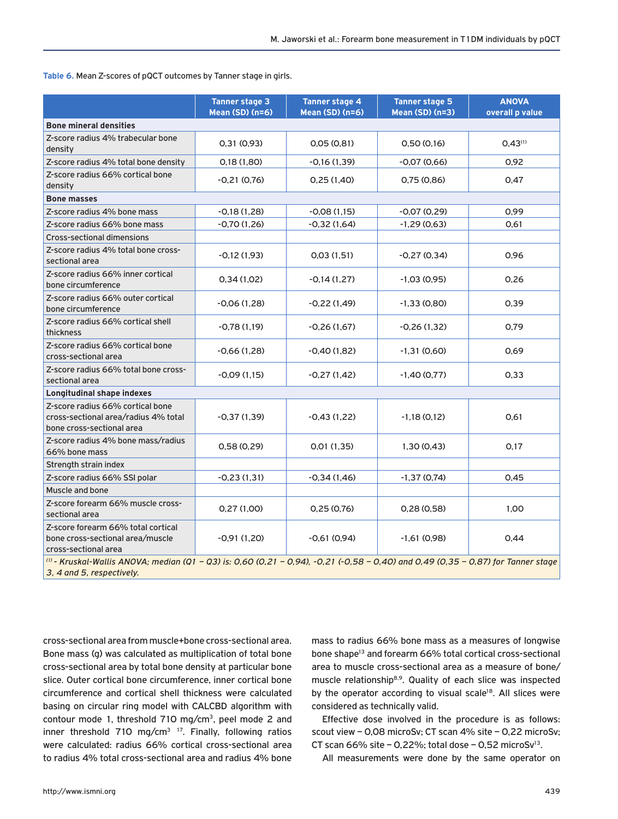**Table 6.** Mean Z-scores of pQCT outcomes by Tanner stage in girls.

|                                                                                                                                                                | <b>Tanner stage 3</b><br><b>Mean (SD) (n=6)</b> | <b>Tanner stage 4</b><br><b>Mean (SD) (n=6)</b> | <b>Tanner stage 5</b><br><b>Mean (SD) (n=3)</b> | <b>ANOVA</b><br>overall p value |  |  |
|----------------------------------------------------------------------------------------------------------------------------------------------------------------|-------------------------------------------------|-------------------------------------------------|-------------------------------------------------|---------------------------------|--|--|
| <b>Bone mineral densities</b>                                                                                                                                  |                                                 |                                                 |                                                 |                                 |  |  |
| Z-score radius 4% trabecular bone<br>density                                                                                                                   | 0,31(0,93)                                      | 0.05(0.81)                                      | 0,50(0,16)                                      | 0.43(1)                         |  |  |
| Z-score radius 4% total bone density                                                                                                                           | 0,18(1,80)                                      | $-0.16(1.39)$                                   | $-0.07(0.66)$                                   | 0.92                            |  |  |
| Z-score radius 66% cortical bone<br>density                                                                                                                    | $-0.21(0.76)$                                   | 0,25(1,40)                                      | 0,75(0,86)                                      | 0,47                            |  |  |
| <b>Bone masses</b>                                                                                                                                             |                                                 |                                                 |                                                 |                                 |  |  |
| Z-score radius 4% bone mass                                                                                                                                    | $-0.18(1.28)$                                   | $-0.08(1.15)$                                   | $-0.07(0.29)$                                   | 0,99                            |  |  |
| Z-score radius 66% bone mass                                                                                                                                   | $-0,70(1,26)$                                   | $-0.32(1.64)$                                   | $-1,29(0,63)$                                   | 0,61                            |  |  |
| <b>Cross-sectional dimensions</b>                                                                                                                              |                                                 |                                                 |                                                 |                                 |  |  |
| Z-score radius 4% total bone cross-<br>sectional area                                                                                                          | $-0,12(1,93)$                                   | 0.03(1.51)                                      | $-0.27(0.34)$                                   | 0,96                            |  |  |
| Z-score radius 66% inner cortical<br>bone circumference                                                                                                        | 0,34(1,02)                                      | $-0,14(1,27)$                                   | $-1,03(0,95)$                                   | 0.26                            |  |  |
| Z-score radius 66% outer cortical<br>bone circumference                                                                                                        | $-0.06(1,28)$                                   | $-0.22(1.49)$                                   | $-1,33(0,80)$                                   | 0,39                            |  |  |
| Z-score radius 66% cortical shell<br>thickness                                                                                                                 | $-0.78(1.19)$                                   | $-0.26(1.67)$                                   | $-0.26(1.32)$                                   | 0,79                            |  |  |
| Z-score radius 66% cortical bone<br>cross-sectional area                                                                                                       | $-0.66(1,28)$                                   | $-0,40(1,82)$                                   | $-1,31(0,60)$                                   | 0,69                            |  |  |
| Z-score radius 66% total bone cross-<br>sectional area                                                                                                         | $-0.09(1.15)$                                   | $-0.27(1.42)$                                   | $-1,40(0,77)$                                   | 0.33                            |  |  |
| <b>Longitudinal shape indexes</b>                                                                                                                              |                                                 |                                                 |                                                 |                                 |  |  |
| Z-score radius 66% cortical bone<br>cross-sectional area/radius 4% total<br>bone cross-sectional area                                                          | $-0.37(1.39)$                                   | $-0.43(1.22)$                                   | -1,18 (0,12)                                    | 0,61                            |  |  |
| Z-score radius 4% bone mass/radius<br>66% bone mass                                                                                                            | 0,58(0,29)                                      | 0.01(1.35)                                      | 1,30(0,43)                                      | 0,17                            |  |  |
| Strength strain index                                                                                                                                          |                                                 |                                                 |                                                 |                                 |  |  |
| Z-score radius 66% SSI polar                                                                                                                                   | $-0,23(1,31)$                                   | $-0,34(1,46)$                                   | $-1,37(0,74)$                                   | 0,45                            |  |  |
| Muscle and bone                                                                                                                                                |                                                 |                                                 |                                                 |                                 |  |  |
| Z-score forearm 66% muscle cross-<br>sectional area                                                                                                            | 0,27(1,00)                                      | 0,25(0,76)                                      | 0,28(0,58)                                      | 1.00                            |  |  |
| Z-score forearm 66% total cortical<br>bone cross-sectional area/muscle<br>cross-sectional area                                                                 | $-0.91(1.20)$                                   | $-0.61(0.94)$                                   | $-1,61(0,98)$                                   | 0,44                            |  |  |
| (i) - Kruskal-Wallis ANOVA; median (Q1 - Q3) is: 0,60 (0,21 - 0,94), -0,21 (-0,58 - 0,40) and 0,49 (0,35 - 0,87) for Tanner stage<br>3. 4 and 5. respectively. |                                                 |                                                 |                                                 |                                 |  |  |

cross-sectional area from muscle+bone cross-sectional area. Bone mass (g) was calculated as multiplication of total bone cross-sectional area by total bone density at particular bone slice. Outer cortical bone circumference, inner cortical bone circumference and cortical shell thickness were calculated basing on circular ring model with CALCBD algorithm with contour mode 1, threshold 710 mg/cm3, peel mode 2 and inner threshold 710 mg/cm<sup>3 17</sup>. Finally, following ratios were calculated: radius 66% cortical cross-sectional area to radius 4% total cross-sectional area and radius 4% bone

mass to radius 66% bone mass as a measures of longwise bone shape<sup>13</sup> and forearm 66% total cortical cross-sectional area to muscle cross-sectional area as a measure of bone/ muscle relationship<sup>8,9</sup>. Quality of each slice was inspected by the operator according to visual scale<sup>18</sup>. All slices were considered as technically valid.

Effective dose involved in the procedure is as follows: scout view – 0,08 microSv; CT scan 4% site – 0,22 microSv; CT scan 66% site – 0,22%; total dose – 0,52 microSv<sup>13</sup>.

All measurements were done by the same operator on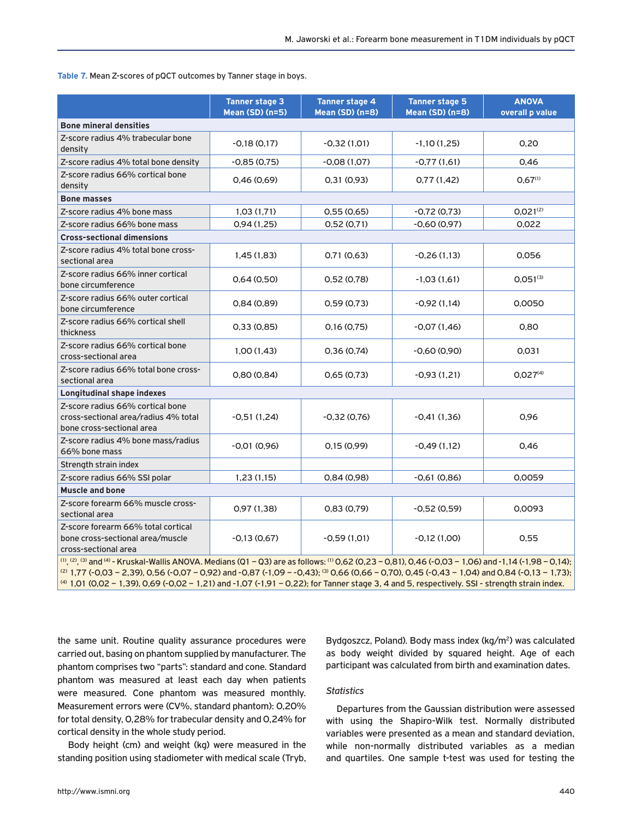**Table 7.** Mean Z-scores of pQCT outcomes by Tanner stage in boys.

|                                                                                                                                                                                                                                                                                                                                                                                                                                                                   | <b>Tanner stage 3</b><br><b>Mean (SD) (n=5)</b> | <b>Tanner stage 4</b><br><b>Mean (SD) (n=8)</b> | <b>Tanner stage 5</b><br><b>Mean (SD) (n=8)</b> | <b>ANOVA</b><br>overall p value |  |  |
|-------------------------------------------------------------------------------------------------------------------------------------------------------------------------------------------------------------------------------------------------------------------------------------------------------------------------------------------------------------------------------------------------------------------------------------------------------------------|-------------------------------------------------|-------------------------------------------------|-------------------------------------------------|---------------------------------|--|--|
| <b>Bone mineral densities</b>                                                                                                                                                                                                                                                                                                                                                                                                                                     |                                                 |                                                 |                                                 |                                 |  |  |
| Z-score radius 4% trabecular bone<br>density                                                                                                                                                                                                                                                                                                                                                                                                                      | $-0.18(0.17)$                                   | $-0.32(1.01)$                                   | $-1,10(1,25)$                                   | 0,20                            |  |  |
| Z-score radius 4% total bone density                                                                                                                                                                                                                                                                                                                                                                                                                              | $-0.85(0.75)$                                   | $-0.08(1.07)$                                   | $-0.77(1.61)$                                   | 0,46                            |  |  |
| Z-score radius 66% cortical bone<br>density                                                                                                                                                                                                                                                                                                                                                                                                                       | 0.46(0.69)                                      | 0,31(0,93)                                      | 0,77(1,42)                                      | $0.67^{(1)}$                    |  |  |
| <b>Bone masses</b>                                                                                                                                                                                                                                                                                                                                                                                                                                                |                                                 |                                                 |                                                 |                                 |  |  |
| Z-score radius 4% bone mass                                                                                                                                                                                                                                                                                                                                                                                                                                       | 1,03(1,71)                                      | 0,55(0,65)                                      | $-0.72(0.73)$                                   | $0,021^{(2)}$                   |  |  |
| Z-score radius 66% bone mass                                                                                                                                                                                                                                                                                                                                                                                                                                      | 0,94(1,25)                                      | 0,52(0,71)                                      | $-0.60(0.97)$                                   | 0,022                           |  |  |
| <b>Cross-sectional dimensions</b>                                                                                                                                                                                                                                                                                                                                                                                                                                 |                                                 |                                                 |                                                 |                                 |  |  |
| Z-score radius 4% total bone cross-<br>sectional area                                                                                                                                                                                                                                                                                                                                                                                                             | 1,45(1,83)                                      | 0,71(0,63)                                      | $-0.26(1.13)$                                   | 0.056                           |  |  |
| Z-score radius 66% inner cortical<br>bone circumference                                                                                                                                                                                                                                                                                                                                                                                                           | 0.64(0.50)                                      | 0,52(0,78)                                      | $-1,03(1,61)$                                   | $0,051^{(3)}$                   |  |  |
| Z-score radius 66% outer cortical<br>bone circumference                                                                                                                                                                                                                                                                                                                                                                                                           | 0,84(0,89)                                      | 0,59(0,73)                                      | $-0.92(1.14)$                                   | 0,0050                          |  |  |
| Z-score radius 66% cortical shell<br>thickness                                                                                                                                                                                                                                                                                                                                                                                                                    | 0.33(0.85)                                      | 0,16(0,75)                                      | $-0.07(1.46)$                                   | 0,80                            |  |  |
| Z-score radius 66% cortical bone<br>cross-sectional area                                                                                                                                                                                                                                                                                                                                                                                                          | 1,00(1,43)                                      | 0,36(0,74)                                      | $-0,60(0,90)$                                   | 0,031                           |  |  |
| Z-score radius 66% total bone cross-<br>sectional area                                                                                                                                                                                                                                                                                                                                                                                                            | 0,80(0,84)                                      | 0,65(0,73)                                      | $-0.93(1.21)$                                   | 0.027 <sup>(4)</sup>            |  |  |
| <b>Longitudinal shape indexes</b>                                                                                                                                                                                                                                                                                                                                                                                                                                 |                                                 |                                                 |                                                 |                                 |  |  |
| Z-score radius 66% cortical bone<br>cross-sectional area/radius 4% total<br>bone cross-sectional area                                                                                                                                                                                                                                                                                                                                                             | -0,51 (1,24)                                    | -0,32 (0,76)                                    | $-0.41(1.36)$                                   | 0,96                            |  |  |
| Z-score radius 4% bone mass/radius<br>66% bone mass                                                                                                                                                                                                                                                                                                                                                                                                               | $-0.01(0.96)$                                   | 0,15(0,99)                                      | $-0,49(1,12)$                                   | 0,46                            |  |  |
| Strength strain index                                                                                                                                                                                                                                                                                                                                                                                                                                             |                                                 |                                                 |                                                 |                                 |  |  |
| Z-score radius 66% SSI polar                                                                                                                                                                                                                                                                                                                                                                                                                                      | 1,23(1,15)                                      | 0,84(0,98)                                      | $-0,61(0,86)$                                   | 0,0059                          |  |  |
| <b>Muscle and bone</b>                                                                                                                                                                                                                                                                                                                                                                                                                                            |                                                 |                                                 |                                                 |                                 |  |  |
| Z-score forearm 66% muscle cross-<br>sectional area                                                                                                                                                                                                                                                                                                                                                                                                               | 0,97(1,38)                                      | 0,83(0,79)                                      | $-0,52(0,59)$                                   | 0,0093                          |  |  |
| Z-score forearm 66% total cortical<br>bone cross-sectional area/muscle<br>cross-sectional area                                                                                                                                                                                                                                                                                                                                                                    | $-0,13(0,67)$                                   | $-0,59(1,01)$                                   | $-0,12(1,00)$                                   | 0,55                            |  |  |
| (1), (2), (3) and (4) - Kruskal-Wallis ANOVA. Medians (Q1 - Q3) are as follows: (1) O,62 (0,23 - 0,81), O,46 (-0,03 - 1,06) and -1,14 (-1,98 - 0,14);<br>(2) 1,77 (-0,03 - 2,39), 0,56 (-0,07 - 0,92) and -0,87 (-1,09 - -0,43); <sup>(3)</sup> 0,66 (0,66 - 0,70), 0,45 (-0,43 - 1,04) and 0,84 (-0,13 - 1,73);<br>(4) 1,01 (0,02 - 1,39), 0,69 (-0,02 - 1,21) and -1,07 (-1,91 - 0,22); for Tanner stage 3, 4 and 5, respectively. SSI - strength strain index. |                                                 |                                                 |                                                 |                                 |  |  |

the same unit. Routine quality assurance procedures were carried out, basing on phantom supplied by manufacturer. The phantom comprises two "parts": standard and cone. Standard phantom was measured at least each day when patients were measured. Cone phantom was measured monthly. Measurement errors were (CV%, standard phantom): 0,20% for total density, 0,28% for trabecular density and 0,24% for cortical density in the whole study period.

Body height (cm) and weight (kg) were measured in the standing position using stadiometer with medical scale (Tryb, Bydgoszcz, Poland). Body mass index (kg/m<sup>2</sup>) was calculated as body weight divided by squared height. Age of each participant was calculated from birth and examination dates.

## *Statistics*

Departures from the Gaussian distribution were assessed with using the Shapiro-Wilk test. Normally distributed variables were presented as a mean and standard deviation, while non-normally distributed variables as a median and quartiles. One sample t-test was used for testing the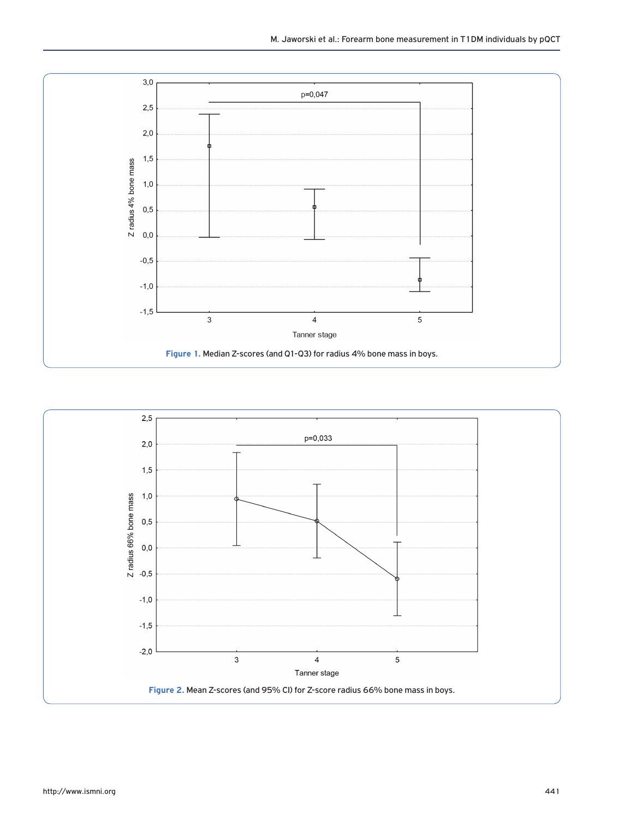

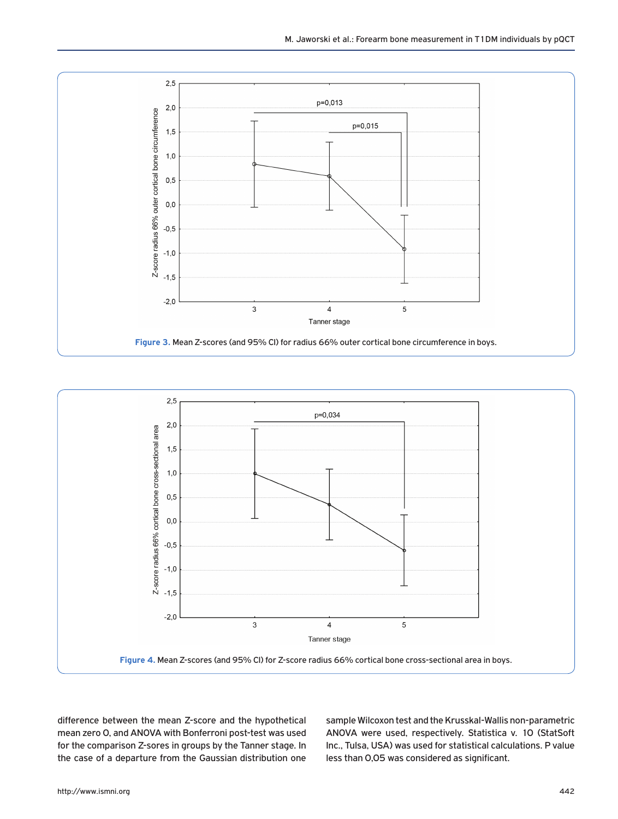



difference between the mean Z-score and the hypothetical mean zero 0, and ANOVA with Bonferroni post-test was used for the comparison Z-sores in groups by the Tanner stage. In the case of a departure from the Gaussian distribution one sample Wilcoxon test and the Krusskal-Wallis non-parametric ANOVA were used, respectively. Statistica v. 10 (StatSoft Inc., Tulsa, USA) was used for statistical calculations. P value less than 0,05 was considered as significant.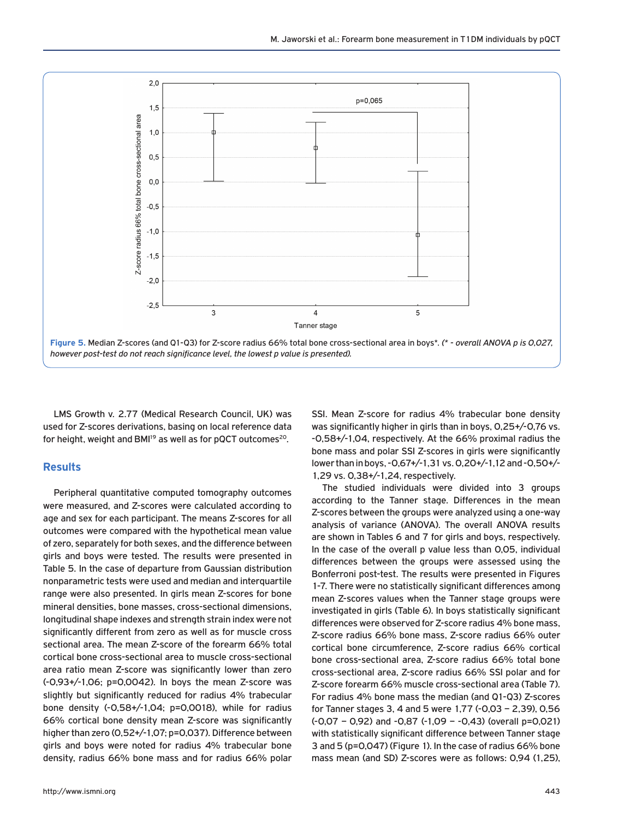

LMS Growth v. 2.77 (Medical Research Council, UK) was used for Z-scores derivations, basing on local reference data for height, weight and BMI<sup>19</sup> as well as for pQCT outcomes<sup>20</sup>.

## **Results**

Peripheral quantitative computed tomography outcomes were measured, and Z-scores were calculated according to age and sex for each participant. The means Z-scores for all outcomes were compared with the hypothetical mean value of zero, separately for both sexes, and the difference between girls and boys were tested. The results were presented in Table 5. In the case of departure from Gaussian distribution nonparametric tests were used and median and interquartile range were also presented. In girls mean Z-scores for bone mineral densities, bone masses, cross-sectional dimensions, longitudinal shape indexes and strength strain index were not significantly different from zero as well as for muscle cross sectional area. The mean Z-score of the forearm 66% total cortical bone cross-sectional area to muscle cross-sectional area ratio mean Z-score was significantly lower than zero (-0,93+/-1,06; p=0,0042). In boys the mean Z-score was slightly but significantly reduced for radius 4% trabecular bone density (-0,58+/-1,04; p=0,0018), while for radius 66% cortical bone density mean Z-score was significantly higher than zero (0,52+/-1,07; p=0,037). Difference between girls and boys were noted for radius 4% trabecular bone density, radius 66% bone mass and for radius 66% polar

SSI. Mean Z-score for radius 4% trabecular bone density was significantly higher in girls than in boys, 0,25+/-0,76 vs. -0,58+/-1,04, respectively. At the 66% proximal radius the bone mass and polar SSI Z-scores in girls were significantly lower than in boys, -0,67+/-1,31 vs. 0,20+/-1,12 and -0,50+/- 1,29 vs. 0,38+/-1,24, respectively.

The studied individuals were divided into 3 groups according to the Tanner stage. Differences in the mean Z-scores between the groups were analyzed using a one-way analysis of variance (ANOVA). The overall ANOVA results are shown in Tables 6 and 7 for girls and boys, respectively. In the case of the overall p value less than 0,05, individual differences between the groups were assessed using the Bonferroni post-test. The results were presented in Figures 1-7. There were no statistically significant differences among mean Z-scores values when the Tanner stage groups were investigated in girls (Table 6). In boys statistically significant differences were observed for Z-score radius 4% bone mass, Z-score radius 66% bone mass, Z-score radius 66% outer cortical bone circumference, Z-score radius 66% cortical bone cross-sectional area, Z-score radius 66% total bone cross-sectional area, Z-score radius 66% SSI polar and for Z-score forearm 66% muscle cross-sectional area (Table 7). For radius 4% bone mass the median (and Q1-Q3) Z-scores for Tanner stages 3, 4 and 5 were 1,77 (-0,03 – 2,39), 0,56 (-0,07 – 0,92) and -0,87 (-1,09 – -0,43) (overall p=0,021) with statistically significant difference between Tanner stage 3 and 5 (p=0,047) (Figure 1). In the case of radius 66% bone mass mean (and SD) Z-scores were as follows: 0,94 (1,25),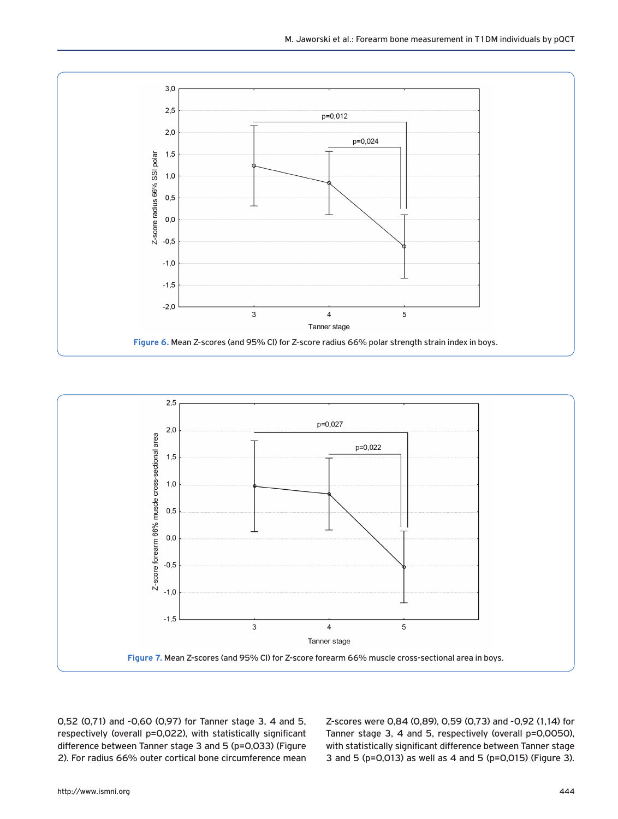



0,52 (0,71) and -0,60 (0,97) for Tanner stage 3, 4 and 5, respectively (overall p=0,022), with statistically significant difference between Tanner stage 3 and 5 (p=0,033) (Figure 2). For radius 66% outer cortical bone circumference mean Z-scores were 0,84 (0,89), 0,59 (0,73) and -0,92 (1,14) for Tanner stage 3, 4 and 5, respectively (overall p=0,0050), with statistically significant difference between Tanner stage 3 and 5 (p=0,013) as well as 4 and 5 (p=0,015) (Figure 3).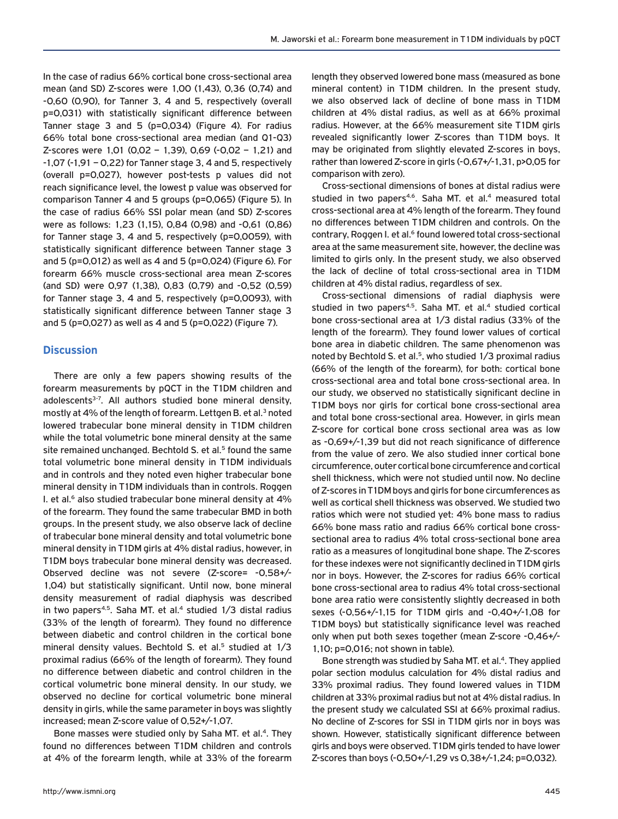In the case of radius 66% cortical bone cross-sectional area mean (and SD) Z-scores were 1,00 (1,43), 0,36 (0,74) and -0,60 (0,90), for Tanner 3, 4 and 5, respectively (overall p=0,031) with statistically significant difference between Tanner stage 3 and 5 (p=0,034) (Figure 4). For radius 66% total bone cross-sectional area median (and Q1-Q3) Z-scores were 1,01 (0,02 – 1,39), 0,69 (-0,02 – 1,21) and  $-1,07$  ( $-1,91$  – 0,22) for Tanner stage 3, 4 and 5, respectively (overall p=0,027), however post-tests p values did not reach significance level, the lowest p value was observed for comparison Tanner 4 and 5 groups (p=0,065) (Figure 5). In the case of radius 66% SSI polar mean (and SD) Z-scores were as follows: 1,23 (1,15), 0,84 (0,98) and -0,61 (0,86) for Tanner stage 3, 4 and 5, respectively (p=0,0059), with statistically significant difference between Tanner stage 3 and 5 (p=0,012) as well as 4 and 5 (p=0,024) (Figure 6). For forearm 66% muscle cross-sectional area mean Z-scores (and SD) were 0,97 (1,38), 0,83 (0,79) and -0,52 (0,59) for Tanner stage 3, 4 and 5, respectively (p=0,0093), with statistically significant difference between Tanner stage 3 and 5 (p=0,027) as well as 4 and 5 (p=0,022) (Figure 7).

### **Discussion**

There are only a few papers showing results of the forearm measurements by pQCT in the T1DM children and adolescents<sup>3-7</sup>. All authors studied bone mineral density, mostly at 4% of the length of forearm. Lettgen B. et al.<sup>3</sup> noted lowered trabecular bone mineral density in T1DM children while the total volumetric bone mineral density at the same site remained unchanged. Bechtold S. et al.<sup>5</sup> found the same total volumetric bone mineral density in T1DM individuals and in controls and they noted even higher trabecular bone mineral density in T1DM individuals than in controls. Roggen I. et al.<sup>6</sup> also studied trabecular bone mineral density at 4% of the forearm. They found the same trabecular BMD in both groups. In the present study, we also observe lack of decline of trabecular bone mineral density and total volumetric bone mineral density in T1DM girls at 4% distal radius, however, in T1DM boys trabecular bone mineral density was decreased. Observed decline was not severe (Z-score= -0,58+/- 1,04) but statistically significant. Until now, bone mineral density measurement of radial diaphysis was described in two papers<sup>4,5</sup>. Saha MT. et al.<sup>4</sup> studied  $1/3$  distal radius (33% of the length of forearm). They found no difference between diabetic and control children in the cortical bone mineral density values. Bechtold S. et al.<sup>5</sup> studied at  $1/3$ proximal radius (66% of the length of forearm). They found no difference between diabetic and control children in the cortical volumetric bone mineral density. In our study, we observed no decline for cortical volumetric bone mineral density in girls, while the same parameter in boys was slightly increased; mean Z-score value of 0,52+/-1,07.

Bone masses were studied only by Saha MT. et al.<sup>4</sup>. They found no differences between T1DM children and controls at 4% of the forearm length, while at 33% of the forearm

length they observed lowered bone mass (measured as bone mineral content) in T1DM children. In the present study, we also observed lack of decline of bone mass in T1DM children at 4% distal radius, as well as at 66% proximal radius. However, at the 66% measurement site T1DM girls revealed significantly lower Z-scores than T1DM boys. It may be originated from slightly elevated Z-scores in boys, rather than lowered Z-score in girls (-0,67+/-1,31, p>0,05 for comparison with zero).

Cross-sectional dimensions of bones at distal radius were studied in two papers<sup>4,6</sup>. Saha MT. et al.<sup>4</sup> measured total cross-sectional area at 4% length of the forearm. They found no differences between T1DM children and controls. On the contrary, Roggen I. et al.<sup>6</sup> found lowered total cross-sectional area at the same measurement site, however, the decline was limited to girls only. In the present study, we also observed the lack of decline of total cross-sectional area in T1DM children at 4% distal radius, regardless of sex.

Cross-sectional dimensions of radial diaphysis were studied in two papers<sup>4,5</sup>. Saha MT, et al.<sup>4</sup> studied cortical bone cross-sectional area at 1/3 distal radius (33% of the length of the forearm). They found lower values of cortical bone area in diabetic children. The same phenomenon was noted by Bechtold S. et al.<sup>5</sup>, who studied 1/3 proximal radius (66% of the length of the forearm), for both: cortical bone cross-sectional area and total bone cross-sectional area. In our study, we observed no statistically significant decline in T1DM boys nor girls for cortical bone cross-sectional area and total bone cross-sectional area. However, in girls mean Z-score for cortical bone cross sectional area was as low as -0,69+/-1,39 but did not reach significance of difference from the value of zero. We also studied inner cortical bone circumference, outer cortical bone circumference and cortical shell thickness, which were not studied until now. No decline of Z-scores in T1DM boys and girls for bone circumferences as well as cortical shell thickness was observed. We studied two ratios which were not studied yet: 4% bone mass to radius 66% bone mass ratio and radius 66% cortical bone crosssectional area to radius 4% total cross-sectional bone area ratio as a measures of longitudinal bone shape. The Z-scores for these indexes were not significantly declined in T1DM girls nor in boys. However, the Z-scores for radius 66% cortical bone cross-sectional area to radius 4% total cross-sectional bone area ratio were consistently slightly decreased in both sexes (-0,56+/-1,15 for T1DM girls and -0,40+/-1,08 for T1DM boys) but statistically significance level was reached only when put both sexes together (mean Z-score -0,46+/- 1,10; p=0,016; not shown in table).

Bone strength was studied by Saha MT, et al.<sup>4</sup>. They applied polar section modulus calculation for 4% distal radius and 33% proximal radius. They found lowered values in T1DM children at 33% proximal radius but not at 4% distal radius. In the present study we calculated SSI at 66% proximal radius. No decline of Z-scores for SSI in T1DM girls nor in boys was shown. However, statistically significant difference between girls and boys were observed. T1DM girls tended to have lower Z-scores than boys (-0,50+/-1,29 vs 0,38+/-1,24; p=0,032).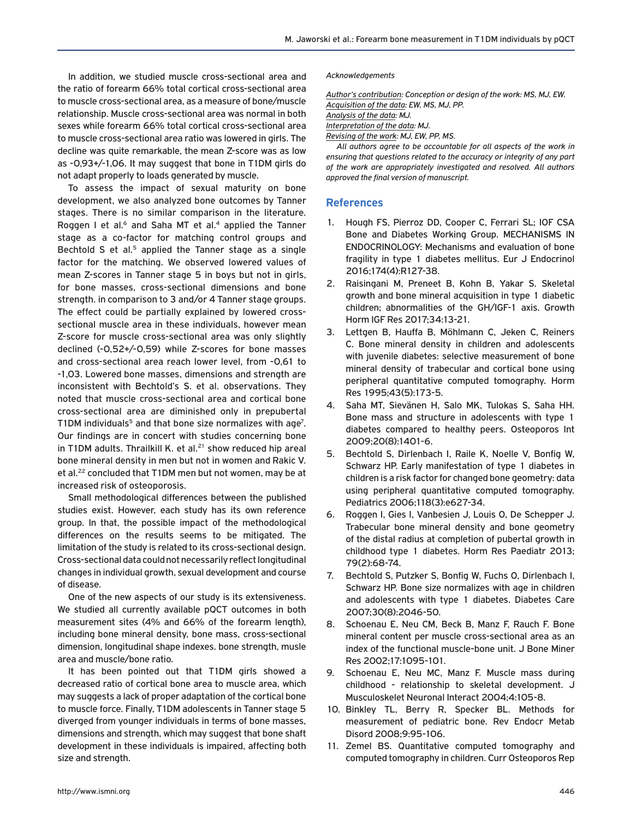In addition, we studied muscle cross-sectional area and the ratio of forearm 66% total cortical cross-sectional area to muscle cross-sectional area, as a measure of bone/muscle relationship. Muscle cross-sectional area was normal in both sexes while forearm 66% total cortical cross-sectional area to muscle cross-sectional area ratio was lowered in girls. The decline was quite remarkable, the mean Z-score was as low as -0,93+/-1,06. It may suggest that bone in T1DM girls do not adapt properly to loads generated by muscle.

To assess the impact of sexual maturity on bone development, we also analyzed bone outcomes by Tanner stages. There is no similar comparison in the literature. Roggen I et al. $6$  and Saha MT et al. $4$  applied the Tanner stage as a co-factor for matching control groups and Bechtold S et al. $5$  applied the Tanner stage as a single factor for the matching. We observed lowered values of mean Z-scores in Tanner stage 5 in boys but not in girls, for bone masses, cross-sectional dimensions and bone strength. in comparison to 3 and/or 4 Tanner stage groups. The effect could be partially explained by lowered crosssectional muscle area in these individuals, however mean Z-score for muscle cross-sectional area was only slightly declined (-0,52+/-0,59) while Z-scores for bone masses and cross-sectional area reach lower level, from -0,61 to -1,03. Lowered bone masses, dimensions and strength are inconsistent with Bechtold's S. et al. observations. They noted that muscle cross-sectional area and cortical bone cross-sectional area are diminished only in prepubertal T1DM individuals<sup>5</sup> and that bone size normalizes with age<sup>7</sup>. Our findings are in concert with studies concerning bone in T1DM adults. Thrailkill K. et al.<sup>21</sup> show reduced hip areal bone mineral density in men but not in women and Rakic V. et al.<sup>22</sup> concluded that T1DM men but not women, may be at increased risk of osteoporosis.

Small methodological differences between the published studies exist. However, each study has its own reference group. In that, the possible impact of the methodological differences on the results seems to be mitigated. The limitation of the study is related to its cross-sectional design. Cross-sectional data could not necessarily reflect longitudinal changes in individual growth, sexual development and course of disease.

One of the new aspects of our study is its extensiveness. We studied all currently available pQCT outcomes in both measurement sites (4% and 66% of the forearm length), including bone mineral density, bone mass, cross-sectional dimension, longitudinal shape indexes. bone strength, musle area and muscle/bone ratio.

It has been pointed out that T1DM girls showed a decreased ratio of cortical bone area to muscle area, which may suggests a lack of proper adaptation of the cortical bone to muscle force. Finally, T1DM adolescents in Tanner stage 5 diverged from younger individuals in terms of bone masses, dimensions and strength, which may suggest that bone shaft development in these individuals is impaired, affecting both size and strength.

#### *Acknowledgements*

*Author's contribution: Conception or design of the work: MS, MJ, EW. Acquisition of the data: EW, MS, MJ, PP. Analysis of the data: MJ. Interpretation of the data: MJ. Revising of the work: MJ, EW, PP, MS.*

*All authors agree to be accountable for all aspects of the work in ensuring that questions related to the accuracy or integrity of any part of the work are appropriately investigated and resolved. All authors approved the final version of manuscript.*

## **References**

- 1. Hough FS, Pierroz DD, Cooper C, Ferrari SL; IOF CSA Bone and Diabetes Working Group. MECHANISMS IN ENDOCRINOLOGY: Mechanisms and evaluation of bone fragility in type 1 diabetes mellitus. Eur J Endocrinol 2016;174(4):R127-38.
- 2. Raisingani M, Preneet B, Kohn B, Yakar S. Skeletal growth and bone mineral acquisition in type 1 diabetic children; abnormalities of the GH/IGF-1 axis. Growth Horm IGF Res 2017;34:13-21.
- 3. Lettgen B, Hauffa B, Möhlmann C, Jeken C, Reiners C. Bone mineral density in children and adolescents with juvenile diabetes: selective measurement of bone mineral density of trabecular and cortical bone using peripheral quantitative computed tomography. Horm Res 1995;43(5):173-5.
- 4. Saha MT, Sievänen H, Salo MK, Tulokas S, Saha HH. Bone mass and structure in adolescents with type 1 diabetes compared to healthy peers. Osteoporos Int 2009;20(8):1401-6.
- 5. Bechtold S, Dirlenbach I, Raile K, Noelle V, Bonfig W, Schwarz HP. Early manifestation of type 1 diabetes in children is a risk factor for changed bone geometry: data using peripheral quantitative computed tomography. Pediatrics 2006;118(3):e627-34.
- 6. Roggen I, Gies I, Vanbesien J, Louis O, De Schepper J. Trabecular bone mineral density and bone geometry of the distal radius at completion of pubertal growth in childhood type 1 diabetes. Horm Res Paediatr 2013; 79(2):68-74.
- 7. Bechtold S, Putzker S, Bonfig W, Fuchs O, Dirlenbach I, Schwarz HP. Bone size normalizes with age in children and adolescents with type 1 diabetes. Diabetes Care 2007;30(8):2046-50.
- 8. Schoenau E, Neu CM, Beck B, Manz F, Rauch F. Bone mineral content per muscle cross-sectional area as an index of the functional muscle-bone unit. J Bone Miner Res 2002;17:1095-101.
- 9. Schoenau E, Neu MC, Manz F. Muscle mass during childhood - relationship to skeletal development. J Musculoskelet Neuronal Interact 2004;4:105-8.
- 10. Binkley TL, Berry R, Specker BL. Methods for measurement of pediatric bone. Rev Endocr Metab Disord 2008;9:95-106.
- 11. Zemel BS. Quantitative computed tomography and computed tomography in children. Curr Osteoporos Rep